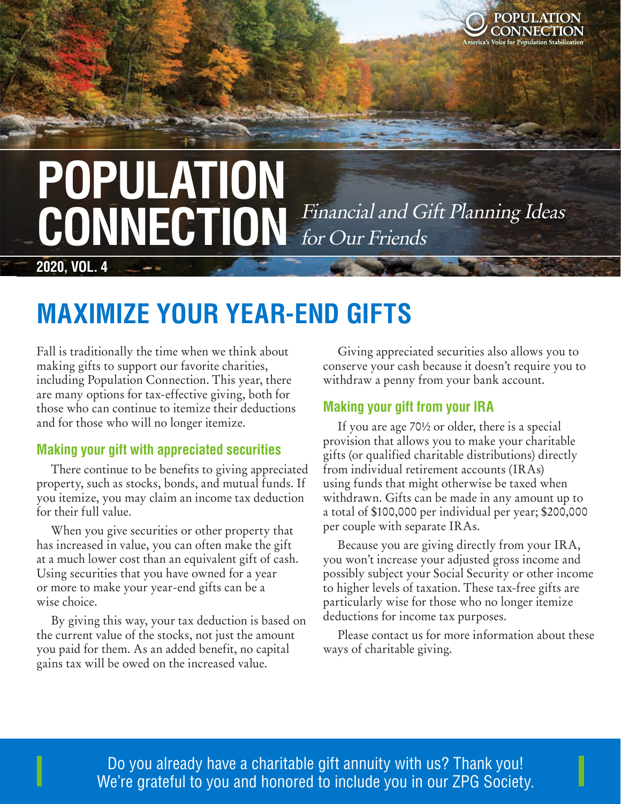

# **POPULATION**  CONNECTION Financial and Gift Planning Ideas for Our Friends

**2020, VOL. 4**

## **MAXIMIZE YOUR YEAR-END GIFTS**

Fall is traditionally the time when we think about making gifts to support our favorite charities, including Population Connection. This year, there are many options for tax-effective giving, both for those who can continue to itemize their deductions and for those who will no longer itemize.

### **Making your gift with appreciated securities**

There continue to be benefits to giving appreciated property, such as stocks, bonds, and mutual funds. If you itemize, you may claim an income tax deduction for their full value.

When you give securities or other property that has increased in value, you can often make the gift at a much lower cost than an equivalent gift of cash. Using securities that you have owned for a year or more to make your year-end gifts can be a wise choice.

By giving this way, your tax deduction is based on the current value of the stocks, not just the amount you paid for them. As an added benefit, no capital gains tax will be owed on the increased value.

Giving appreciated securities also allows you to conserve your cash because it doesn't require you to withdraw a penny from your bank account.

### **Making your gift from your IRA**

If you are age 70½ or older, there is a special provision that allows you to make your charitable gifts (or qualified charitable distributions) directly from individual retirement accounts (IRAs) using funds that might otherwise be taxed when withdrawn. Gifts can be made in any amount up to a total of \$100,000 per individual per year; \$200,000 per couple with separate IRAs.

Because you are giving directly from your IRA, you won't increase your adjusted gross income and possibly subject your Social Security or other income to higher levels of taxation. These tax-free gifts are particularly wise for those who no longer itemize deductions for income tax purposes.

Please contact us for more information about these ways of charitable giving.

 $\blacksquare$  Do you already have a charitable gift annuity with us? Thank you! **Except aliciative Susande Susande Susan**de Susande Society. We're grateful to you and honored to include you in our ZPG Society.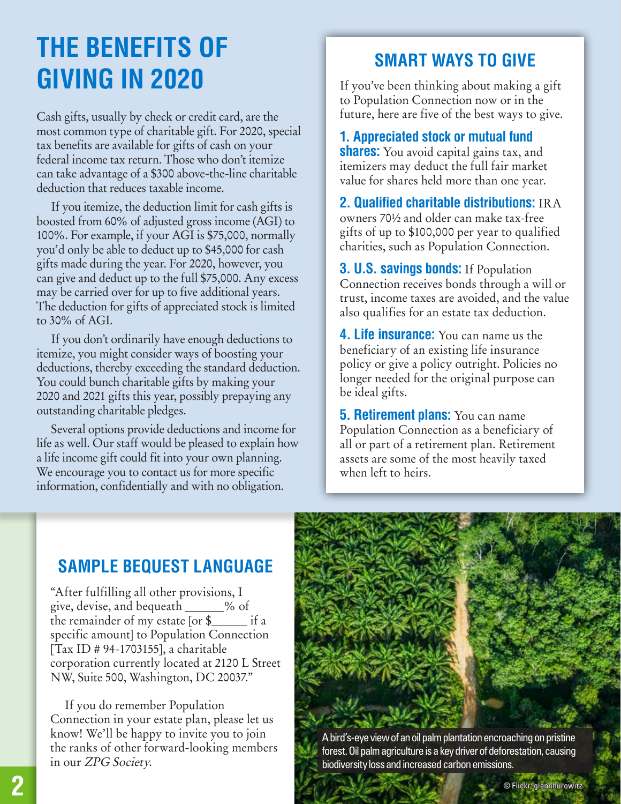## **THE BENEFITS OF GIVING IN 2020**

Cash gifts, usually by check or credit card, are the most common type of charitable gift. For 2020, special tax benefits are available for gifts of cash on your federal income tax return. Those who don't itemize can take advantage of a \$300 above-the-line charitable deduction that reduces taxable income.

If you itemize, the deduction limit for cash gifts is boosted from 60% of adjusted gross income (AGI) to 100%. For example, if your AGI is \$75,000, normally you'd only be able to deduct up to \$45,000 for cash gifts made during the year. For 2020, however, you can give and deduct up to the full \$75,000. Any excess may be carried over for up to five additional years. The deduction for gifts of appreciated stock is limited to 30% of AGI.

If you don't ordinarily have enough deductions to itemize, you might consider ways of boosting your deductions, thereby exceeding the standard deduction. You could bunch charitable gifts by making your 2020 and 2021 gifts this year, possibly prepaying any outstanding charitable pledges.

Several options provide deductions and income for life as well. Our staff would be pleased to explain how a life income gift could fit into your own planning. We encourage you to contact us for more specific information, confidentially and with no obligation.

## **SMART WAYS TO GIVE**

If you've been thinking about making a gift to Population Connection now or in the future, here are five of the best ways to give.

**1. Appreciated stock or mutual fund shares:** You avoid capital gains tax, and itemizers may deduct the full fair market value for shares held more than one year.

**2. Qualified charitable distributions:** IRA owners 70½ and older can make tax-free gifts of up to \$100,000 per year to qualified charities, such as Population Connection.

**3. U.S. savings bonds:** If Population Connection receives bonds through a will or trust, income taxes are avoided, and the value also qualifies for an estate tax deduction.

**4. Life insurance:** You can name us the beneficiary of an existing life insurance policy or give a policy outright. Policies no longer needed for the original purpose can be ideal gifts.

**5. Retirement plans:** You can name Population Connection as a beneficiary of all or part of a retirement plan. Retirement assets are some of the most heavily taxed when left to heirs.

## **SAMPLE BEQUEST LANGUAGE**

"After fulfilling all other provisions, I give, devise, and bequeath \_\_\_\_\_% of the remainder of my estate  $[$ or  $\$ specific amount] to Population Connection [Tax ID # 94-1703155], a charitable corporation currently located at 2120 L Street NW, Suite 500, Washington, DC 20037."

If you do remember Population Connection in your estate plan, please let us know! We'll be happy to invite you to join the ranks of other forward-looking members in our ZPG Society.



forest. Oil palm agriculture is a key driver of deforestation, causing biodiversity loss and increased carbon emissions.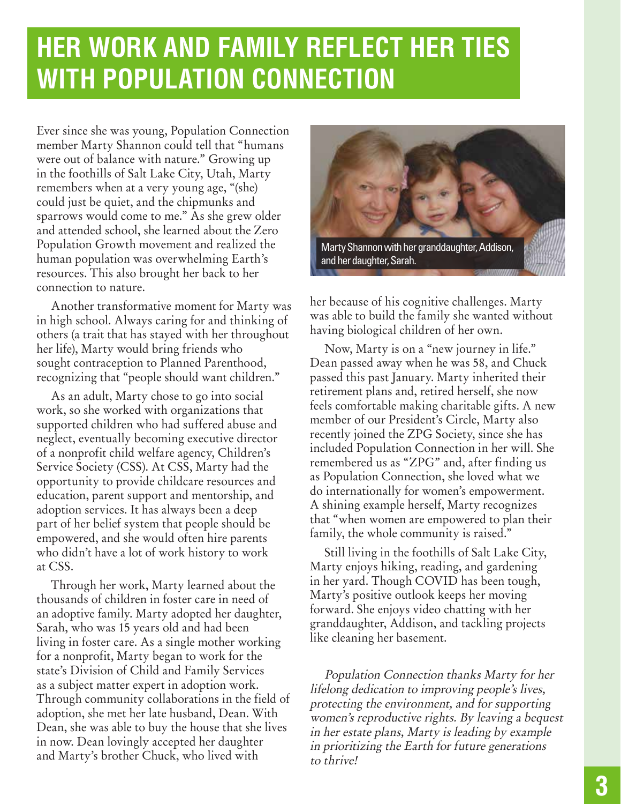## **HER WORK AND FAMILY REFLECT HER TIES WITH POPULATION CONNECTION**

Ever since she was young, Population Connection member Marty Shannon could tell that "humans were out of balance with nature." Growing up in the foothills of Salt Lake City, Utah, Marty remembers when at a very young age, "(she) could just be quiet, and the chipmunks and sparrows would come to me." As she grew older and attended school, she learned about the Zero Population Growth movement and realized the human population was overwhelming Earth's resources. This also brought her back to her connection to nature.

Another transformative moment for Marty was in high school. Always caring for and thinking of others (a trait that has stayed with her throughout her life), Marty would bring friends who sought contraception to Planned Parenthood, recognizing that "people should want children."

As an adult, Marty chose to go into social work, so she worked with organizations that supported children who had suffered abuse and neglect, eventually becoming executive director of a nonprofit child welfare agency, Children's Service Society (CSS). At CSS, Marty had the opportunity to provide childcare resources and education, parent support and mentorship, and adoption services. It has always been a deep part of her belief system that people should be empowered, and she would often hire parents who didn't have a lot of work history to work at CSS.

Through her work, Marty learned about the thousands of children in foster care in need of an adoptive family. Marty adopted her daughter, Sarah, who was 15 years old and had been living in foster care. As a single mother working for a nonprofit, Marty began to work for the state's Division of Child and Family Services as a subject matter expert in adoption work. Through community collaborations in the field of adoption, she met her late husband, Dean. With Dean, she was able to buy the house that she lives in now. Dean lovingly accepted her daughter and Marty's brother Chuck, who lived with



her because of his cognitive challenges. Marty was able to build the family she wanted without having biological children of her own.

Now, Marty is on a "new journey in life." Dean passed away when he was 58, and Chuck passed this past January. Marty inherited their retirement plans and, retired herself, she now feels comfortable making charitable gifts. A new member of our President's Circle, Marty also recently joined the ZPG Society, since she has included Population Connection in her will. She remembered us as "ZPG" and, after finding us as Population Connection, she loved what we do internationally for women's empowerment. A shining example herself, Marty recognizes that "when women are empowered to plan their family, the whole community is raised."

Still living in the foothills of Salt Lake City, Marty enjoys hiking, reading, and gardening in her yard. Though COVID has been tough, Marty's positive outlook keeps her moving forward. She enjoys video chatting with her granddaughter, Addison, and tackling projects like cleaning her basement.

Population Connection thanks Marty for her lifelong dedication to improving people's lives, protecting the environment, and for supporting women's reproductive rights. By leaving a bequest in her estate plans, Marty is leading by example in prioritizing the Earth for future generations to thrive!